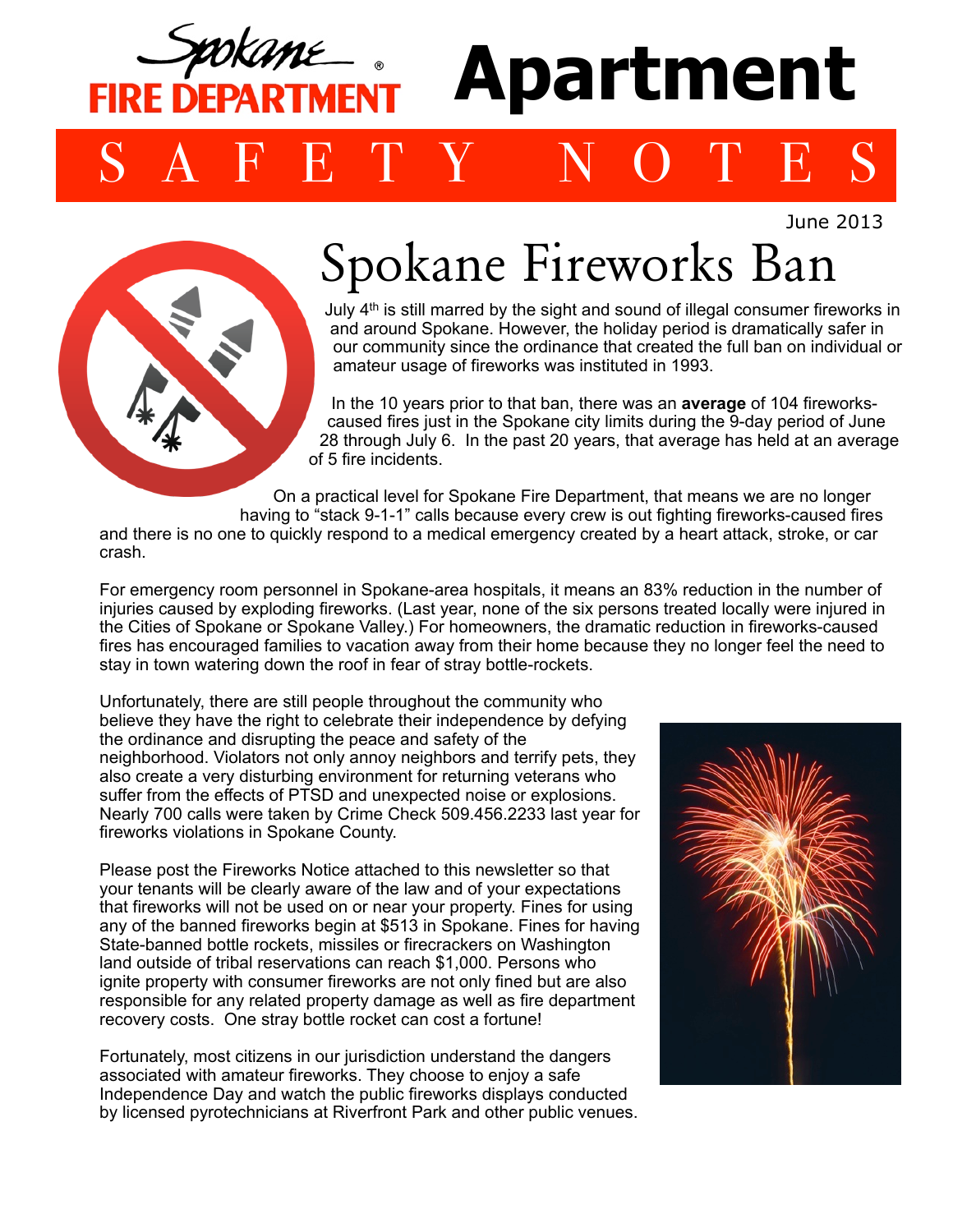

June 2013



## Spokane Fireworks Ban

July 4th is still marred by the sight and sound of illegal consumer fireworks in and around Spokane. However, the holiday period is dramatically safer in our community since the ordinance that created the full ban on individual or amateur usage of fireworks was instituted in 1993.

In the 10 years prior to that ban, there was an **average** of 104 fireworkscaused fires just in the Spokane city limits during the 9-day period of June 28 through July 6. In the past 20 years, that average has held at an average of 5 fire incidents.

On a practical level for Spokane Fire Department, that means we are no longer

having to "stack 9-1-1" calls because every crew is out fighting fireworks-caused fires and there is no one to quickly respond to a medical emergency created by a heart attack, stroke, or car crash.

For emergency room personnel in Spokane-area hospitals, it means an 83% reduction in the number of injuries caused by exploding fireworks. (Last year, none of the six persons treated locally were injured in the Cities of Spokane or Spokane Valley.) For homeowners, the dramatic reduction in fireworks-caused fires has encouraged families to vacation away from their home because they no longer feel the need to stay in town watering down the roof in fear of stray bottle-rockets.

Unfortunately, there are still people throughout the community who believe they have the right to celebrate their independence by defying the ordinance and disrupting the peace and safety of the neighborhood. Violators not only annoy neighbors and terrify pets, they also create a very disturbing environment for returning veterans who suffer from the effects of PTSD and unexpected noise or explosions. Nearly 700 calls were taken by Crime Check 509.456.2233 last year for fireworks violations in Spokane County.

Please post the Fireworks Notice attached to this newsletter so that your tenants will be clearly aware of the law and of your expectations that fireworks will not be used on or near your property. Fines for using any of the banned fireworks begin at \$513 in Spokane. Fines for having State-banned bottle rockets, missiles or firecrackers on Washington land outside of tribal reservations can reach \$1,000. Persons who ignite property with consumer fireworks are not only fined but are also responsible for any related property damage as well as fire department recovery costs. One stray bottle rocket can cost a fortune!

Fortunately, most citizens in our jurisdiction understand the dangers associated with amateur fireworks. They choose to enjoy a safe Independence Day and watch the public fireworks displays conducted by licensed pyrotechnicians at Riverfront Park and other public venues.

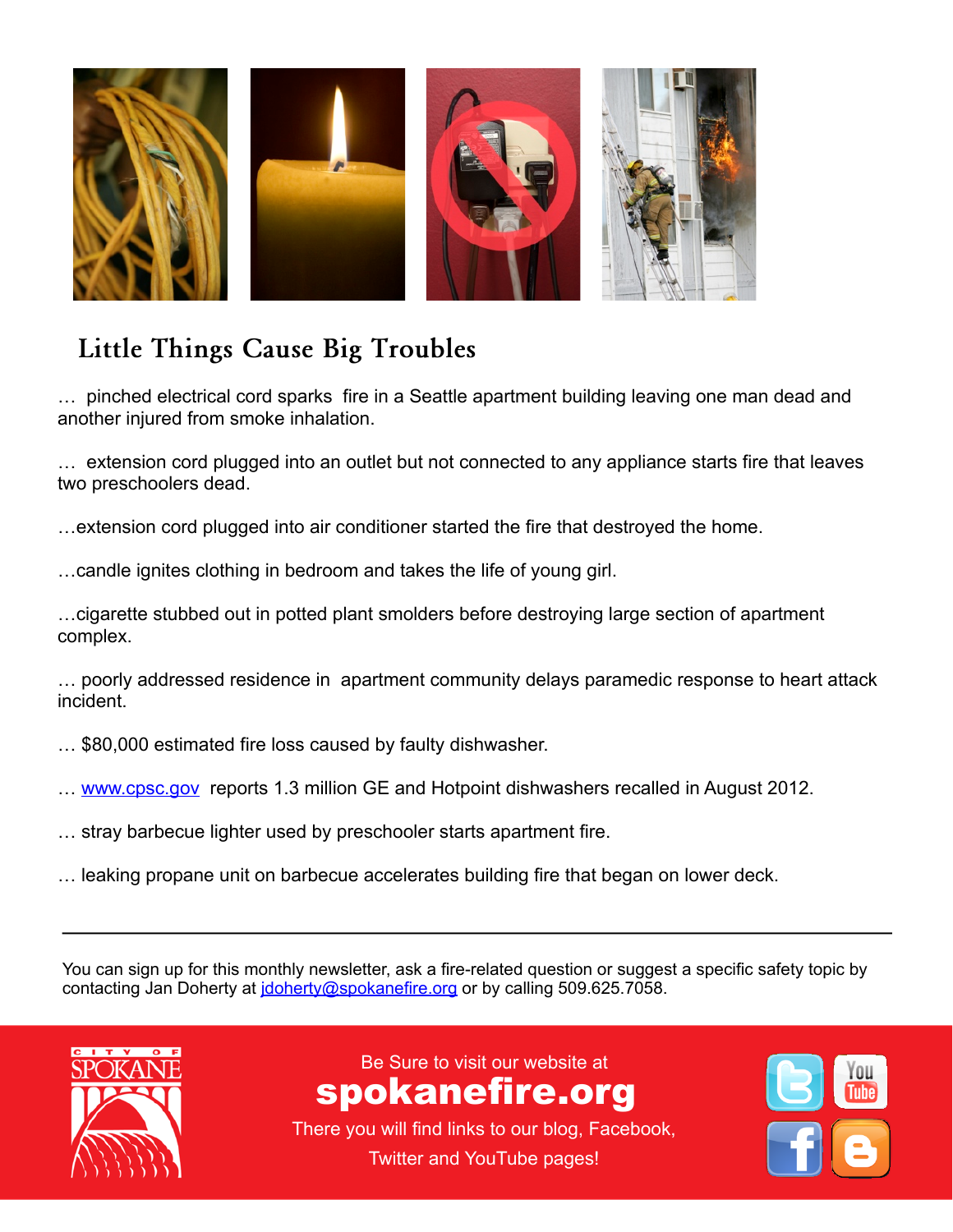

## **Little Things Cause Big Troubles**

**Remind tensor in the smoke inhalation.** The state is a kitchen greater than  $\mathbb{R}$  is a state of the state of the state of the state of the state of the state of the state of the state of the state of the state of the s **by putting a little and turning off the pan and turning off the heat.** … pinched electrical cord sparks fire in a Seattle apartment building leaving one man dead and

an outlet but not connected to any appliance s tenants may be a simple information, may be a simple information,  $\mathcal{L}_{\mathcal{A}}$ *show that:* … extension cord plugged into an outlet but not connected to any appliance starts fire that leaves two preschoolers dead.

**Keep grills a safe distance from siding, eaves, wooden**  *•Males face disproportionate risk*  …extension cord plugged into air conditioner started the fire that destroyed the home.

...candle ignites clothing in bedroom and takes the life of young girl. decks of multi-family residences can dramatically accelerate any

fire that starts on the exterior of a building. *cooking injuries occur when*  ...cigarette stubbed out in potted plant smolders before destroying large section of apartment complex.

risk-for-cooking- fire" groups of college students or senior in apartment community delays paramedic response to heart attack ... poorly addressed residence in apartment community delays paramedic response to heart attack incident.

On a related note, Spokane Fire Department Prevention … \$80,000 estimated fire loss caused by faulty dishwasher.

- personnel had the opportunity to witness the effectiveness of the hillion GE and Hotpoint dishwashers recalled ii *sleeping.* … [www.cpsc.gov](http://www.cpsc.gov) reports 1.3 million GE and Hotpoint dishwashers recalled in August 2012.
- a proposed or otomo oper proposed fine ... stray barbecue lighter used by preschooler starts apartment fire.
- on stovetops. It is more energy-efficient than a regular burner  $\dots$  leaking propane unit on barbecue accelerates building fire that began on lower deck.

You can sign up for this monthly newsletter, ask a fire-related question or suggest a specific safety topic by roch can eighter that them by homeway, ask a morrelated queenent or eagger

 $\mathcal{L}_{\mathcal{A}}$  or  $\mathcal{L}_{\mathcal{A}}$  or  $\mathcal{L}_{\mathcal{A}}$  or  $\mathcal{L}_{\mathcal{A}}$  or  $\mathcal{L}_{\mathcal{A}}$  or  $\mathcal{L}_{\mathcal{A}}$  or  $\mathcal{L}_{\mathcal{A}}$  or  $\mathcal{L}_{\mathcal{A}}$  or  $\mathcal{L}_{\mathcal{A}}$ 



Be Sure to visit our website at  $\overline{\phantom{a}}$ www.spokanefire.org spokanefire.org

There you will find links to our blog, There you will find links to our blog, Facebook, Twitter and YouTube pages!